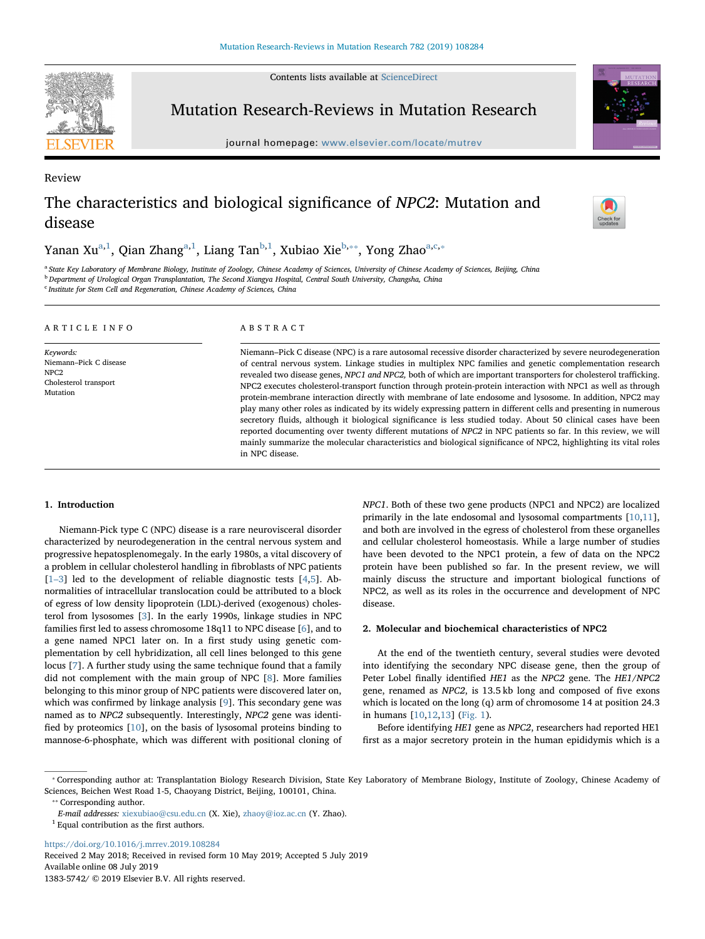Contents lists available at [ScienceDirect](http://www.sciencedirect.com/science/journal/13835742)



Review

Mutation Research-Reviews in Mutation Research

journal homepage: [www.elsevier.com/locate/mutrev](https://www.elsevier.com/locate/mutrev)



# The characteristics and biological significance of NPC2: Mutation and disease



Y[a](#page-0-0)nan Xu<sup>a[,1](#page-0-1)</sup>, Qian Zhang<sup>a,[1](#page-0-1)</sup>, Liang Tan<sup>[b,](#page-0-2)1</sup>, Xubiao Xie<sup>b,</sup>\*\*, Yong Zhao<sup>a[,c,](#page-0-4)</sup>\*

<span id="page-0-2"></span><span id="page-0-0"></span><sup>a</sup> State Key Laboratory of Membrane Biology, Institute of Zoology, Chinese Academy of Sciences, University of Chinese Academy of Sciences, Beijing, China <sup>b</sup> Department of Urological Organ Transplantation, The Second Xiangya Hospital, Central South University, Changsha, China

<span id="page-0-4"></span><sup>c</sup> Institute for Stem Cell and Regeneration, Chinese Academy of Sciences, China

## ARTICLE INFO

Keywords: Niemann–Pick C disease NPC2 Cholesterol transport Mutation

## ABSTRACT

Niemann–Pick C disease (NPC) is a rare autosomal recessive disorder characterized by severe neurodegeneration of central nervous system. Linkage studies in multiplex NPC families and genetic complementation research revealed two disease genes, NPC1 and NPC2, both of which are important transporters for cholesterol trafficking. NPC2 executes cholesterol-transport function through protein-protein interaction with NPC1 as well as through protein-membrane interaction directly with membrane of late endosome and lysosome. In addition, NPC2 may play many other roles as indicated by its widely expressing pattern in different cells and presenting in numerous secretory fluids, although it biological significance is less studied today. About 50 clinical cases have been reported documenting over twenty different mutations of NPC2 in NPC patients so far. In this review, we will mainly summarize the molecular characteristics and biological significance of NPC2, highlighting its vital roles in NPC disease.

# 1. Introduction

Niemann-Pick type C (NPC) disease is a rare neurovisceral disorder characterized by neurodegeneration in the central nervous system and progressive hepatosplenomegaly. In the early 1980s, a vital discovery of a problem in cellular cholesterol handling in fibroblasts of NPC patients  $[1-3]$  $[1-3]$  led to the development of reliable diagnostic tests  $[4,5]$  $[4,5]$  $[4,5]$ . Abnormalities of intracellular translocation could be attributed to a block of egress of low density lipoprotein (LDL)-derived (exogenous) cholesterol from lysosomes [[3](#page-4-3)]. In the early 1990s, linkage studies in NPC families first led to assess chromosome 18q11 to NPC disease [[6](#page-4-4)], and to a gene named NPC1 later on. In a first study using genetic complementation by cell hybridization, all cell lines belonged to this gene locus [\[7\]](#page-4-5). A further study using the same technique found that a family did not complement with the main group of NPC [[8](#page-4-6)]. More families belonging to this minor group of NPC patients were discovered later on, which was confirmed by linkage analysis [[9](#page-4-7)]. This secondary gene was named as to NPC2 subsequently. Interestingly, NPC2 gene was identified by proteomics [\[10](#page-4-8)], on the basis of lysosomal proteins binding to mannose-6-phosphate, which was different with positional cloning of NPC1. Both of these two gene products (NPC1 and NPC2) are localized primarily in the late endosomal and lysosomal compartments [[10,](#page-4-8)[11](#page-4-9)], and both are involved in the egress of cholesterol from these organelles and cellular cholesterol homeostasis. While a large number of studies have been devoted to the NPC1 protein, a few of data on the NPC2 protein have been published so far. In the present review, we will mainly discuss the structure and important biological functions of NPC2, as well as its roles in the occurrence and development of NPC disease.

#### 2. Molecular and biochemical characteristics of NPC2

At the end of the twentieth century, several studies were devoted into identifying the secondary NPC disease gene, then the group of Peter Lobel finally identified HE1 as the NPC2 gene. The HE1/NPC2 gene, renamed as NPC2, is 13.5 kb long and composed of five exons which is located on the long (q) arm of chromosome 14 at position 24.3 in humans [[10,](#page-4-8)[12](#page-4-10)[,13](#page-4-11)] [\(Fig. 1\)](#page-1-0).

Before identifying HE1 gene as NPC2, researchers had reported HE1 first as a major secretory protein in the human epididymis which is a

<https://doi.org/10.1016/j.mrrev.2019.108284>

Received 2 May 2018; Received in revised form 10 May 2019; Accepted 5 July 2019 Available online 08 July 2019

<span id="page-0-5"></span><sup>⁎</sup> Corresponding author at: Transplantation Biology Research Division, State Key Laboratory of Membrane Biology, Institute of Zoology, Chinese Academy of Sciences, Beichen West Road 1-5, Chaoyang District, Beijing, 100101, China.

<span id="page-0-3"></span><sup>\*\*</sup> Corresponding author.

E-mail addresses: [xiexubiao@csu.edu.cn](mailto:xiexubiao@csu.edu.cn) (X. Xie), [zhaoy@ioz.ac.cn](mailto:zhaoy@ioz.ac.cn) (Y. Zhao).

<span id="page-0-1"></span> $1$  Equal contribution as the first authors.

<sup>1383-5742/ © 2019</sup> Elsevier B.V. All rights reserved.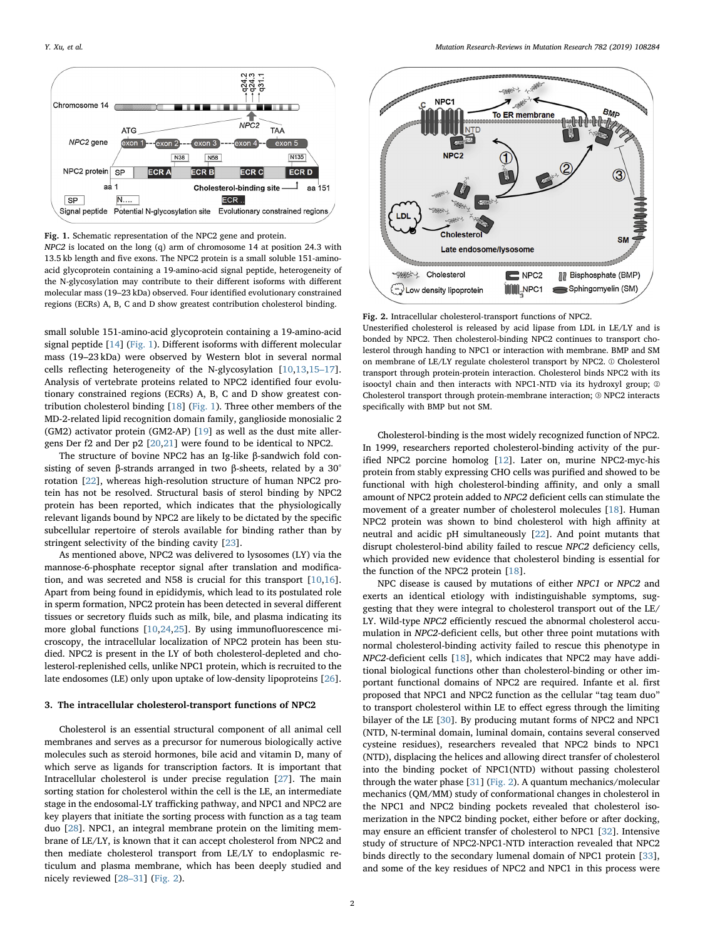<span id="page-1-0"></span>

Fig. 1. Schematic representation of the NPC2 gene and protein.

NPC2 is located on the long (q) arm of chromosome 14 at position 24.3 with 13.5 kb length and five exons. The NPC2 protein is a small soluble 151-aminoacid glycoprotein containing a 19-amino-acid signal peptide, heterogeneity of the N-glycosylation may contribute to their different isoforms with different molecular mass (19–23 kDa) observed. Four identified evolutionary constrained regions (ECRs) A, B, C and D show greatest contribution cholesterol binding.

small soluble 151-amino-acid glycoprotein containing a 19-amino-acid signal peptide [\[14](#page-4-12)] ([Fig. 1\)](#page-1-0). Different isoforms with different molecular mass (19–23 kDa) were observed by Western blot in several normal cells reflecting heterogeneity of the N-glycosylation [[10,](#page-4-8)[13](#page-4-11)[,15](#page-4-13)–17]. Analysis of vertebrate proteins related to NPC2 identified four evolutionary constrained regions (ECRs) A, B, C and D show greatest contribution cholesterol binding [[18\]](#page-4-14) [\(Fig. 1](#page-1-0)). Three other members of the MD-2-related lipid recognition domain family, ganglioside monosialic 2 (GM2) activator protein (GM2-AP) [\[19](#page-4-15)] as well as the dust mite allergens Der f2 and Der p2 [[20](#page-4-16)[,21](#page-4-17)] were found to be identical to NPC2.

The structure of bovine NPC2 has an Ig-like β-sandwich fold consisting of seven β-strands arranged in two β-sheets, related by a 30° rotation [\[22](#page-4-18)], whereas high-resolution structure of human NPC2 protein has not be resolved. Structural basis of sterol binding by NPC2 protein has been reported, which indicates that the physiologically relevant ligands bound by NPC2 are likely to be dictated by the specific subcellular repertoire of sterols available for binding rather than by stringent selectivity of the binding cavity [\[23](#page-4-19)].

As mentioned above, NPC2 was delivered to lysosomes (LY) via the mannose-6-phosphate receptor signal after translation and modification, and was secreted and N58 is crucial for this transport [[10,](#page-4-8)[16](#page-4-20)]. Apart from being found in epididymis, which lead to its postulated role in sperm formation, NPC2 protein has been detected in several different tissues or secretory fluids such as milk, bile, and plasma indicating its more global functions [\[10](#page-4-8)[,24,](#page-4-21)[25\]](#page-4-22). By using immunofluorescence microscopy, the intracellular localization of NPC2 protein has been studied. NPC2 is present in the LY of both cholesterol-depleted and cholesterol-replenished cells, unlike NPC1 protein, which is recruited to the late endosomes (LE) only upon uptake of low-density lipoproteins [\[26](#page-4-23)].

## 3. The intracellular cholesterol-transport functions of NPC2

Cholesterol is an essential structural component of all animal cell membranes and serves as a precursor for numerous biologically active molecules such as steroid hormones, bile acid and vitamin D, many of which serve as ligands for transcription factors. It is important that Intracellular cholesterol is under precise regulation [[27\]](#page-4-24). The main sorting station for cholesterol within the cell is the LE, an intermediate stage in the endosomal-LY trafficking pathway, and NPC1 and NPC2 are key players that initiate the sorting process with function as a tag team duo [\[28](#page-4-25)]. NPC1, an integral membrane protein on the limiting membrane of LE/LY, is known that it can accept cholesterol from NPC2 and then mediate cholesterol transport from LE/LY to endoplasmic reticulum and plasma membrane, which has been deeply studied and nicely reviewed [28–[31\]](#page-4-25) ([Fig. 2\)](#page-1-1).

<span id="page-1-1"></span>

Fig. 2. Intracellular cholesterol-transport functions of NPC2.

Unesterified cholesterol is released by acid lipase from LDL in LE/LY and is bonded by NPC2. Then cholesterol-binding NPC2 continues to transport cholesterol through handing to NPC1 or interaction with membrane. BMP and SM on membrane of LE/LY regulate cholesterol transport by NPC2. ① Cholesterol transport through protein-protein interaction. Cholesterol binds NPC2 with its isooctyl chain and then interacts with NPC1-NTD via its hydroxyl group; ② Cholesterol transport through protein-membrane interaction; ③ NPC2 interacts specifically with BMP but not SM.

Cholesterol-binding is the most widely recognized function of NPC2. In 1999, researchers reported cholesterol-binding activity of the purified NPC2 porcine homolog [[12\]](#page-4-10). Later on, murine NPC2-myc-his protein from stably expressing CHO cells was purified and showed to be functional with high cholesterol-binding affinity, and only a small amount of NPC2 protein added to NPC2 deficient cells can stimulate the movement of a greater number of cholesterol molecules [\[18](#page-4-14)]. Human NPC2 protein was shown to bind cholesterol with high affinity at neutral and acidic pH simultaneously [\[22](#page-4-18)]. And point mutants that disrupt cholesterol-bind ability failed to rescue NPC2 deficiency cells, which provided new evidence that cholesterol binding is essential for the function of the NPC2 protein [[18\]](#page-4-14).

NPC disease is caused by mutations of either NPC1 or NPC2 and exerts an identical etiology with indistinguishable symptoms, suggesting that they were integral to cholesterol transport out of the LE/ LY. Wild-type NPC2 efficiently rescued the abnormal cholesterol accumulation in NPC2-deficient cells, but other three point mutations with normal cholesterol-binding activity failed to rescue this phenotype in NPC2-deficient cells [[18\]](#page-4-14), which indicates that NPC2 may have additional biological functions other than cholesterol-binding or other important functional domains of NPC2 are required. Infante et al. first proposed that NPC1 and NPC2 function as the cellular "tag team duo" to transport cholesterol within LE to effect egress through the limiting bilayer of the LE [\[30](#page-4-26)]. By producing mutant forms of NPC2 and NPC1 (NTD, N-terminal domain, luminal domain, contains several conserved cysteine residues), researchers revealed that NPC2 binds to NPC1 (NTD), displacing the helices and allowing direct transfer of cholesterol into the binding pocket of NPC1(NTD) without passing cholesterol through the water phase [\[31](#page-4-27)] [\(Fig. 2\)](#page-1-1). A quantum mechanics/molecular mechanics (QM/MM) study of conformational changes in cholesterol in the NPC1 and NPC2 binding pockets revealed that cholesterol isomerization in the NPC2 binding pocket, either before or after docking, may ensure an efficient transfer of cholesterol to NPC1 [\[32](#page-4-28)]. Intensive study of structure of NPC2-NPC1-NTD interaction revealed that NPC2 binds directly to the secondary lumenal domain of NPC1 protein [\[33](#page-4-29)], and some of the key residues of NPC2 and NPC1 in this process were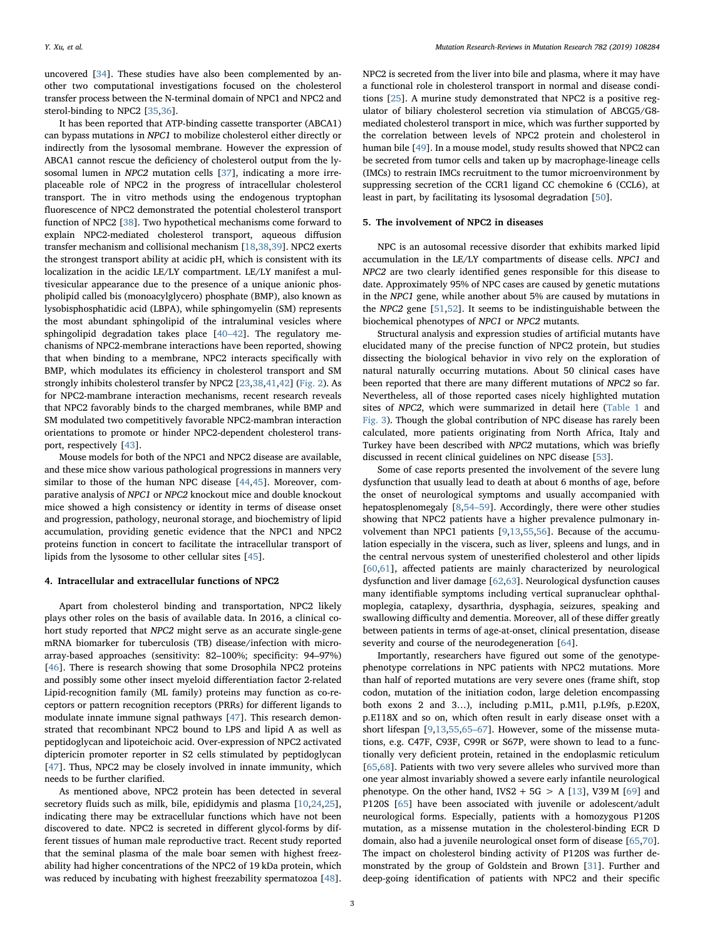uncovered [\[34](#page-4-30)]. These studies have also been complemented by another two computational investigations focused on the cholesterol transfer process between the N-terminal domain of NPC1 and NPC2 and sterol-binding to NPC2 [[35](#page-4-31)[,36](#page-4-32)].

It has been reported that ATP-binding cassette transporter (ABCA1) can bypass mutations in NPC1 to mobilize cholesterol either directly or indirectly from the lysosomal membrane. However the expression of ABCA1 cannot rescue the deficiency of cholesterol output from the lysosomal lumen in NPC2 mutation cells [[37\]](#page-4-33), indicating a more irreplaceable role of NPC2 in the progress of intracellular cholesterol transport. The in vitro methods using the endogenous tryptophan fluorescence of NPC2 demonstrated the potential cholesterol transport function of NPC2 [\[38\]](#page-4-34). Two hypothetical mechanisms come forward to explain NPC2-mediated cholesterol transport, aqueous diffusion transfer mechanism and collisional mechanism [[18](#page-4-14)[,38](#page-4-34)[,39](#page-4-35)]. NPC2 exerts the strongest transport ability at acidic pH, which is consistent with its localization in the acidic LE/LY compartment. LE/LY manifest a multivesicular appearance due to the presence of a unique anionic phospholipid called bis (monoacylglycero) phosphate (BMP), also known as lysobisphosphatidic acid (LBPA), while sphingomyelin (SM) represents the most abundant sphingolipid of the intraluminal vesicles where sphingolipid degradation takes place [\[40](#page-4-36)–42]. The regulatory mechanisms of NPC2-membrane interactions have been reported, showing that when binding to a membrane, NPC2 interacts specifically with BMP, which modulates its efficiency in cholesterol transport and SM strongly inhibits cholesterol transfer by NPC2 [\[23](#page-4-19),[38,](#page-4-34)[41,](#page-4-37)[42\]](#page-4-38) [\(Fig. 2\)](#page-1-1). As for NPC2-mambrane interaction mechanisms, recent research reveals that NPC2 favorably binds to the charged membranes, while BMP and SM modulated two competitively favorable NPC2-mambran interaction orientations to promote or hinder NPC2-dependent cholesterol transport, respectively [\[43](#page-5-0)].

Mouse models for both of the NPC1 and NPC2 disease are available, and these mice show various pathological progressions in manners very similar to those of the human NPC disease [\[44](#page-5-1),[45\]](#page-5-2). Moreover, comparative analysis of NPC1 or NPC2 knockout mice and double knockout mice showed a high consistency or identity in terms of disease onset and progression, pathology, neuronal storage, and biochemistry of lipid accumulation, providing genetic evidence that the NPC1 and NPC2 proteins function in concert to facilitate the intracellular transport of lipids from the lysosome to other cellular sites [\[45](#page-5-2)].

#### 4. Intracellular and extracellular functions of NPC2

Apart from cholesterol binding and transportation, NPC2 likely plays other roles on the basis of available data. In 2016, a clinical cohort study reported that NPC2 might serve as an accurate single-gene mRNA biomarker for tuberculosis (TB) disease/infection with microarray-based approaches (sensitivity: 82–100%; specificity: 94–97%) [[46\]](#page-5-3). There is research showing that some Drosophila NPC2 proteins and possibly some other insect myeloid differentiation factor 2-related Lipid-recognition family (ML family) proteins may function as co-receptors or pattern recognition receptors (PRRs) for different ligands to modulate innate immune signal pathways [\[47](#page-5-4)]. This research demonstrated that recombinant NPC2 bound to LPS and lipid A as well as peptidoglycan and lipoteichoic acid. Over-expression of NPC2 activated diptericin promoter reporter in S2 cells stimulated by peptidoglycan [[47\]](#page-5-4). Thus, NPC2 may be closely involved in innate immunity, which needs to be further clarified.

As mentioned above, NPC2 protein has been detected in several secretory fluids such as milk, bile, epididymis and plasma [[10,](#page-4-8)[24,](#page-4-21)[25](#page-4-22)], indicating there may be extracellular functions which have not been discovered to date. NPC2 is secreted in different glycol-forms by different tissues of human male reproductive tract. Recent study reported that the seminal plasma of the male boar semen with highest freezability had higher concentrations of the NPC2 of 19 kDa protein, which was reduced by incubating with highest freezability spermatozoa [\[48](#page-5-5)].

NPC2 is secreted from the liver into bile and plasma, where it may have a functional role in cholesterol transport in normal and disease conditions [\[25](#page-4-22)]. A murine study demonstrated that NPC2 is a positive regulator of biliary cholesterol secretion via stimulation of ABCG5/G8 mediated cholesterol transport in mice, which was further supported by the correlation between levels of NPC2 protein and cholesterol in human bile [\[49](#page-5-6)]. In a mouse model, study results showed that NPC2 can be secreted from tumor cells and taken up by macrophage-lineage cells (IMCs) to restrain IMCs recruitment to the tumor microenvironment by suppressing secretion of the CCR1 ligand CC chemokine 6 (CCL6), at least in part, by facilitating its lysosomal degradation [\[50](#page-5-7)].

## 5. The involvement of NPC2 in diseases

NPC is an autosomal recessive disorder that exhibits marked lipid accumulation in the LE/LY compartments of disease cells. NPC1 and NPC2 are two clearly identified genes responsible for this disease to date. Approximately 95% of NPC cases are caused by genetic mutations in the NPC1 gene, while another about 5% are caused by mutations in the NPC2 gene [[51,](#page-5-8)[52](#page-5-9)]. It seems to be indistinguishable between the biochemical phenotypes of NPC1 or NPC2 mutants.

Structural analysis and expression studies of artificial mutants have elucidated many of the precise function of NPC2 protein, but studies dissecting the biological behavior in vivo rely on the exploration of natural naturally occurring mutations. About 50 clinical cases have been reported that there are many different mutations of NPC2 so far. Nevertheless, all of those reported cases nicely highlighted mutation sites of NPC2, which were summarized in detail here ([Table 1](#page-3-0) and [Fig. 3\)](#page-3-1). Though the global contribution of NPC disease has rarely been calculated, more patients originating from North Africa, Italy and Turkey have been described with NPC2 mutations, which was briefly discussed in recent clinical guidelines on NPC disease [[53\]](#page-5-10).

Some of case reports presented the involvement of the severe lung dysfunction that usually lead to death at about 6 months of age, before the onset of neurological symptoms and usually accompanied with hepatosplenomegaly [\[8,](#page-4-6)54–[59\]](#page-5-11). Accordingly, there were other studies showing that NPC2 patients have a higher prevalence pulmonary involvement than NPC1 patients [\[9,](#page-4-7)[13,](#page-4-11)[55](#page-5-12)[,56](#page-5-13)]. Because of the accumulation especially in the viscera, such as liver, spleens and lungs, and in the central nervous system of unesterified cholesterol and other lipids [[60](#page-5-14)[,61](#page-5-15)], affected patients are mainly characterized by neurological dysfunction and liver damage [\[62](#page-5-16),[63\]](#page-5-17). Neurological dysfunction causes many identifiable symptoms including vertical supranuclear ophthalmoplegia, cataplexy, dysarthria, dysphagia, seizures, speaking and swallowing difficulty and dementia. Moreover, all of these differ greatly between patients in terms of age-at-onset, clinical presentation, disease severity and course of the neurodegeneration [\[64](#page-5-18)].

Importantly, researchers have figured out some of the genotypephenotype correlations in NPC patients with NPC2 mutations. More than half of reported mutations are very severe ones (frame shift, stop codon, mutation of the initiation codon, large deletion encompassing both exons 2 and 3…), including p.M1L, p.M1l, p.L9fs, p.E20X, p.E118X and so on, which often result in early disease onset with a short lifespan [\[9,](#page-4-7)[13](#page-4-11)[,55](#page-5-12)[,65](#page-5-19)–67]. However, some of the missense mutations, e.g. C47F, C93F, C99R or S67P, were shown to lead to a functionally very deficient protein, retained in the endoplasmic reticulum [[65](#page-5-19)[,68](#page-5-20)]. Patients with two very severe alleles who survived more than one year almost invariably showed a severe early infantile neurological phenotype. On the other hand, IVS2 + 5G > A [\[13](#page-4-11)], V39 M [[69](#page-5-21)] and P120S [\[65](#page-5-19)] have been associated with juvenile or adolescent/adult neurological forms. Especially, patients with a homozygous P120S mutation, as a missense mutation in the cholesterol-binding ECR D domain, also had a juvenile neurological onset form of disease [[65,](#page-5-19)[70](#page-5-22)]. The impact on cholesterol binding activity of P120S was further demonstrated by the group of Goldstein and Brown [\[31](#page-4-27)]. Further and deep-going identification of patients with NPC2 and their specific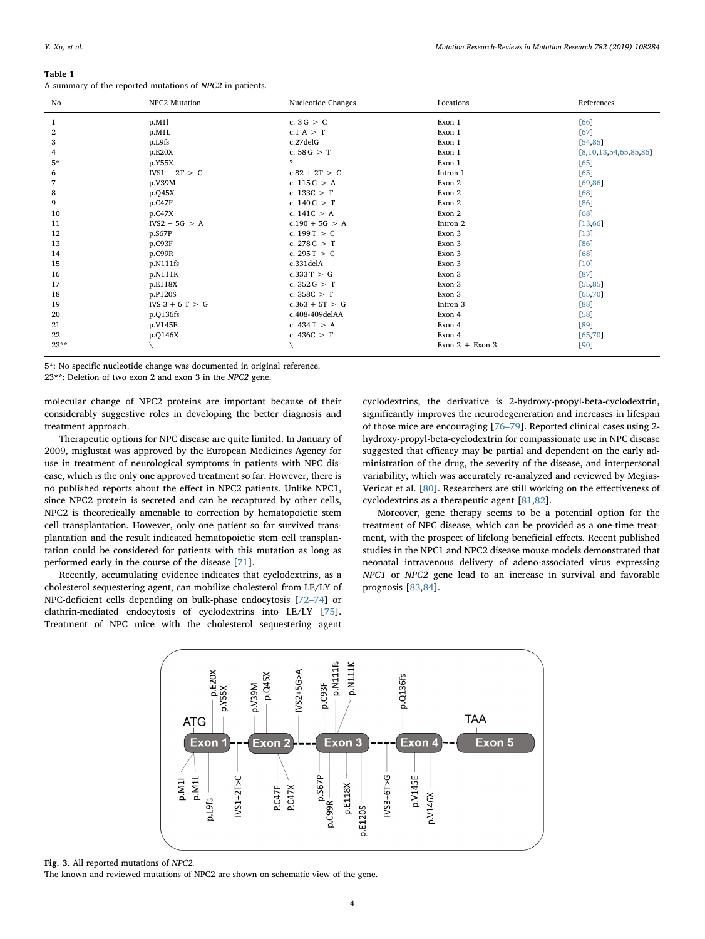<span id="page-3-0"></span>

| Table 1                                                  |  |  |
|----------------------------------------------------------|--|--|
| A summary of the reported mutations of NPC2 in patients. |  |  |

| No     | NPC2 Mutation     | Nucleotide Changes | Locations         | References            |
|--------|-------------------|--------------------|-------------------|-----------------------|
| 1      | p.M11             | c. $3G > C$        | Exon 1            | [66]                  |
| 2      | p.M1L             | c.1 $A > T$        | Exon 1            | 67                    |
| 3      | p.L9fs            | c.27delG           | Exon 1            | [54, 85]              |
| 4      | p.E20X            | c. $58 G > T$      | Exon 1            | [8,10,13,54,65,85,86] |
| $5*$   | p.Y55X            | $\overline{P}$     | Exon 1            | [65]                  |
| 6      | $IVS1 + 2T > C$   | $c.82 + 2T > C$    | Intron 1          | [65]                  |
| 7      | p.V39M            | c. $115G > A$      | Exon 2            | [69, 86]              |
| 8      | p.Q45X            | c. $133C > T$      | Exon 2            | [68]                  |
| 9      | p.C47F            | c. $140 G > T$     | Exon 2            | [86]                  |
| 10     | p.C47X            | c. $141C > A$      | Exon 2            | [68]                  |
| 11     | $IVS2 + 5G > A$   | $c.190 + 5G > A$   | Intron 2          | [13, 66]              |
| 12     | p.S67P            | c. $199T > C$      | Exon 3            | $[13]$                |
| 13     | p.C93F            | c. 278 G $>$ T     | Exon 3            | [86]                  |
| 14     | p.C99R            | c. $295T > C$      | Exon 3            | [68]                  |
| 15     | p.N111fs          | c.331delA          | Exon 3            | $[10]$                |
| 16     | p.N111K           | c.333T > G         | Exon 3            | 87]                   |
| 17     | p.E118X           | c. $352G > T$      | Exon 3            | [55, 85]              |
| 18     | p.P120S           | c. $358C > T$      | Exon 3            | [65, 70]              |
| 19     | $IVS 3 + 6 T > G$ | $c.363 + 6T > G$   | Intron 3          | [88]                  |
| 20     | p.Q136fs          | c.408-409delAA     | Exon 4            | [58]                  |
| 21     | p.V145E           | c. $434T > A$      | Exon 4            | 89]                   |
| 22     | p.Q146X           | c. $436C > T$      | Exon 4            | [65, 70]              |
| $23**$ |                   |                    | Exon $2 +$ Exon 3 | [90]                  |

5\*: No specific nucleotide change was documented in original reference.

23\*\*: Deletion of two exon 2 and exon 3 in the NPC2 gene.

molecular change of NPC2 proteins are important because of their considerably suggestive roles in developing the better diagnosis and treatment approach.

Therapeutic options for NPC disease are quite limited. In January of 2009, miglustat was approved by the European Medicines Agency for use in treatment of neurological symptoms in patients with NPC disease, which is the only one approved treatment so far. However, there is no published reports about the effect in NPC2 patients. Unlike NPC1, since NPC2 protein is secreted and can be recaptured by other cells, NPC2 is theoretically amenable to correction by hematopoietic stem cell transplantation. However, only one patient so far survived transplantation and the result indicated hematopoietic stem cell transplantation could be considered for patients with this mutation as long as performed early in the course of the disease [[71\]](#page-5-23).

<span id="page-3-1"></span>Recently, accumulating evidence indicates that cyclodextrins, as a cholesterol sequestering agent, can mobilize cholesterol from LE/LY of NPC-deficient cells depending on bulk-phase endocytosis [\[72](#page-5-24)–74] or clathrin-mediated endocytosis of cyclodextrins into LE/LY [\[75](#page-5-25)]. Treatment of NPC mice with the cholesterol sequestering agent cyclodextrins, the derivative is 2-hydroxy-propyl-beta-cyclodextrin, significantly improves the neurodegeneration and increases in lifespan of those mice are encouraging [76–[79\]](#page-5-26). Reported clinical cases using 2 hydroxy-propyl-beta-cyclodextrin for compassionate use in NPC disease suggested that efficacy may be partial and dependent on the early administration of the drug, the severity of the disease, and interpersonal variability, which was accurately re-analyzed and reviewed by Megias-Vericat et al. [[80\]](#page-5-27). Researchers are still working on the effectiveness of cyclodextrins as a therapeutic agent [[81,](#page-5-28)[82\]](#page-5-29).

Moreover, gene therapy seems to be a potential option for the treatment of NPC disease, which can be provided as a one-time treatment, with the prospect of lifelong beneficial effects. Recent published studies in the NPC1 and NPC2 disease mouse models demonstrated that neonatal intravenous delivery of adeno-associated virus expressing NPC1 or NPC2 gene lead to an increase in survival and favorable prognosis [\[83](#page-5-30),[84\]](#page-5-31).



Fig. 3. All reported mutations of NPC2.

The known and reviewed mutations of NPC2 are shown on schematic view of the gene.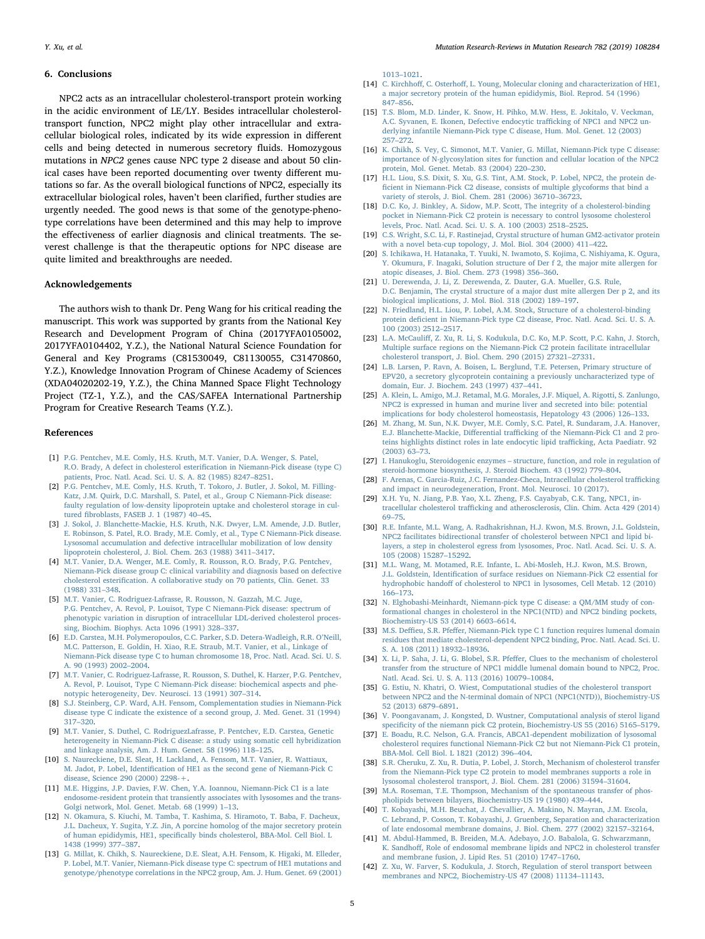#### 6. Conclusions

NPC2 acts as an intracellular cholesterol-transport protein working in the acidic environment of LE/LY. Besides intracellular cholesteroltransport function, NPC2 might play other intracellular and extracellular biological roles, indicated by its wide expression in different cells and being detected in numerous secretory fluids. Homozygous mutations in NPC2 genes cause NPC type 2 disease and about 50 clinical cases have been reported documenting over twenty different mutations so far. As the overall biological functions of NPC2, especially its extracellular biological roles, haven't been clarified, further studies are urgently needed. The good news is that some of the genotype-phenotype correlations have been determined and this may help to improve the effectiveness of earlier diagnosis and clinical treatments. The severest challenge is that the therapeutic options for NPC disease are quite limited and breakthroughs are needed.

## Acknowledgements

The authors wish to thank Dr. Peng Wang for his critical reading the manuscript. This work was supported by grants from the National Key Research and Development Program of China (2017YFA0105002, 2017YFA0104402, Y.Z.), the National Natural Science Foundation for General and Key Programs (C81530049, C81130055, C31470860, Y.Z.), Knowledge Innovation Program of Chinese Academy of Sciences (XDA04020202-19, Y.Z.), the China Manned Space Flight Technology Project (TZ-1, Y.Z.), and the CAS/SAFEA International Partnership Program for Creative Research Teams (Y.Z.).

#### References

- <span id="page-4-0"></span>[1] [P.G. Pentchev, M.E. Comly, H.S. Kruth, M.T. Vanier, D.A. Wenger, S. Patel,](http://refhub.elsevier.com/S1383-5742(18)30039-5/sbref0005) [R.O. Brady, A defect in cholesterol esteri](http://refhub.elsevier.com/S1383-5742(18)30039-5/sbref0005)fication in Niemann-Pick disease (type C) [patients, Proc. Natl. Acad. Sci. U. S. A. 82 \(1985\) 8247](http://refhub.elsevier.com/S1383-5742(18)30039-5/sbref0005)–8251.
- [2] [P.G. Pentchev, M.E. Comly, H.S. Kruth, T. Tokoro, J. Butler, J. Sokol, M. Filling-](http://refhub.elsevier.com/S1383-5742(18)30039-5/sbref0010)[Katz, J.M. Quirk, D.C. Marshall, S. Patel, et al., Group C Niemann-Pick disease:](http://refhub.elsevier.com/S1383-5742(18)30039-5/sbref0010) [faulty regulation of low-density lipoprotein uptake and cholesterol storage in cul](http://refhub.elsevier.com/S1383-5742(18)30039-5/sbref0010)tured fi[broblasts, FASEB J. 1 \(1987\) 40](http://refhub.elsevier.com/S1383-5742(18)30039-5/sbref0010)–45.
- <span id="page-4-3"></span>[3] [J. Sokol, J. Blanchette-Mackie, H.S. Kruth, N.K. Dwyer, L.M. Amende, J.D. Butler,](http://refhub.elsevier.com/S1383-5742(18)30039-5/sbref0015) [E. Robinson, S. Patel, R.O. Brady, M.E. Comly, et al., Type C Niemann-Pick disease.](http://refhub.elsevier.com/S1383-5742(18)30039-5/sbref0015) [Lysosomal accumulation and defective intracellular mobilization of low density](http://refhub.elsevier.com/S1383-5742(18)30039-5/sbref0015) [lipoprotein cholesterol, J. Biol. Chem. 263 \(1988\) 3411](http://refhub.elsevier.com/S1383-5742(18)30039-5/sbref0015)–3417.
- <span id="page-4-1"></span>[4] [M.T. Vanier, D.A. Wenger, M.E. Comly, R. Rousson, R.O. Brady, P.G. Pentchev,](http://refhub.elsevier.com/S1383-5742(18)30039-5/sbref0020) [Niemann-Pick disease group C: clinical variability and diagnosis based on defective](http://refhub.elsevier.com/S1383-5742(18)30039-5/sbref0020) cholesterol esterifi[cation. A collaborative study on 70 patients, Clin. Genet. 33](http://refhub.elsevier.com/S1383-5742(18)30039-5/sbref0020) [\(1988\) 331](http://refhub.elsevier.com/S1383-5742(18)30039-5/sbref0020)–348.
- <span id="page-4-2"></span>[5] [M.T. Vanier, C. Rodriguez-Lafrasse, R. Rousson, N. Gazzah, M.C. Juge,](http://refhub.elsevier.com/S1383-5742(18)30039-5/sbref0025) [P.G. Pentchev, A. Revol, P. Louisot, Type C Niemann-Pick disease: spectrum of](http://refhub.elsevier.com/S1383-5742(18)30039-5/sbref0025) [phenotypic variation in disruption of intracellular LDL-derived cholesterol proces](http://refhub.elsevier.com/S1383-5742(18)30039-5/sbref0025)[sing, Biochim. Biophys. Acta 1096 \(1991\) 328](http://refhub.elsevier.com/S1383-5742(18)30039-5/sbref0025)–337.
- <span id="page-4-4"></span>[6] [E.D. Carstea, M.H. Polymeropoulos, C.C. Parker, S.D. Detera-Wadleigh, R.R. O](http://refhub.elsevier.com/S1383-5742(18)30039-5/sbref0030)'Neill, [M.C. Patterson, E. Goldin, H. Xiao, R.E. Straub, M.T. Vanier, et al., Linkage of](http://refhub.elsevier.com/S1383-5742(18)30039-5/sbref0030) [Niemann-Pick disease type C to human chromosome 18, Proc. Natl. Acad. Sci. U. S.](http://refhub.elsevier.com/S1383-5742(18)30039-5/sbref0030) [A. 90 \(1993\) 2002](http://refhub.elsevier.com/S1383-5742(18)30039-5/sbref0030)–2004.
- <span id="page-4-5"></span>[7] [M.T. Vanier, C. Rodriguez-Lafrasse, R. Rousson, S. Duthel, K. Harzer, P.G. Pentchev,](http://refhub.elsevier.com/S1383-5742(18)30039-5/sbref0035) [A. Revol, P. Louisot, Type C Niemann-Pick disease: biochemical aspects and phe](http://refhub.elsevier.com/S1383-5742(18)30039-5/sbref0035)[notypic heterogeneity, Dev. Neurosci. 13 \(1991\) 307](http://refhub.elsevier.com/S1383-5742(18)30039-5/sbref0035)–314.
- <span id="page-4-6"></span>[8] [S.J. Steinberg, C.P. Ward, A.H. Fensom, Complementation studies in Niemann-Pick](http://refhub.elsevier.com/S1383-5742(18)30039-5/sbref0040) [disease type C indicate the existence of a second group, J. Med. Genet. 31 \(1994\)](http://refhub.elsevier.com/S1383-5742(18)30039-5/sbref0040) 317–[320.](http://refhub.elsevier.com/S1383-5742(18)30039-5/sbref0040)
- <span id="page-4-7"></span>[9] [M.T. Vanier, S. Duthel, C. RodriguezLafrasse, P. Pentchev, E.D. Carstea, Genetic](http://refhub.elsevier.com/S1383-5742(18)30039-5/sbref0045) [heterogeneity in Niemann-Pick C disease: a study using somatic cell hybridization](http://refhub.elsevier.com/S1383-5742(18)30039-5/sbref0045) [and linkage analysis, Am. J. Hum. Genet. 58 \(1996\) 118](http://refhub.elsevier.com/S1383-5742(18)30039-5/sbref0045)–125.
- <span id="page-4-8"></span>[10] [S. Naureckiene, D.E. Sleat, H. Lackland, A. Fensom, M.T. Vanier, R. Wattiaux,](http://refhub.elsevier.com/S1383-5742(18)30039-5/sbref0050) M. Jadot, P. Lobel, Identifi[cation of HE1 as the second gene of Niemann-Pick C](http://refhub.elsevier.com/S1383-5742(18)30039-5/sbref0050) [disease, Science 290 \(2000\) 2298-+.](http://refhub.elsevier.com/S1383-5742(18)30039-5/sbref0050)
- <span id="page-4-9"></span>[11] [M.E. Higgins, J.P. Davies, F.W. Chen, Y.A. Ioannou, Niemann-Pick C1 is a late](http://refhub.elsevier.com/S1383-5742(18)30039-5/sbref0055) [endosome-resident protein that transiently associates with lysosomes and the trans-](http://refhub.elsevier.com/S1383-5742(18)30039-5/sbref0055)[Golgi network, Mol. Genet. Metab. 68 \(1999\) 1](http://refhub.elsevier.com/S1383-5742(18)30039-5/sbref0055)–13.
- <span id="page-4-10"></span>[12] [N. Okamura, S. Kiuchi, M. Tamba, T. Kashima, S. Hiramoto, T. Baba, F. Dacheux,](http://refhub.elsevier.com/S1383-5742(18)30039-5/sbref0060) [J.L. Dacheux, Y. Sugita, Y.Z. Jin, A porcine homolog of the major secretory protein](http://refhub.elsevier.com/S1383-5742(18)30039-5/sbref0060) of human epididymis, HE1, specifi[cally binds cholesterol, BBA-Mol. Cell Biol. L](http://refhub.elsevier.com/S1383-5742(18)30039-5/sbref0060) [1438 \(1999\) 377](http://refhub.elsevier.com/S1383-5742(18)30039-5/sbref0060)–387.
- <span id="page-4-11"></span>[13] [G. Millat, K. Chikh, S. Naureckiene, D.E. Sleat, A.H. Fensom, K. Higaki, M. Elleder,](http://refhub.elsevier.com/S1383-5742(18)30039-5/sbref0065) [P. Lobel, M.T. Vanier, Niemann-Pick disease type C: spectrum of HE1 mutations and](http://refhub.elsevier.com/S1383-5742(18)30039-5/sbref0065) genotype/phenotype [correlations in the NPC2 group, Am. J. Hum. Genet. 69 \(2001\)](http://refhub.elsevier.com/S1383-5742(18)30039-5/sbref0065)

1013–[1021.](http://refhub.elsevier.com/S1383-5742(18)30039-5/sbref0065)

- <span id="page-4-12"></span>[14] C. Kirchhoff, C. Osterhoff[, L. Young, Molecular cloning and characterization of HE1,](http://refhub.elsevier.com/S1383-5742(18)30039-5/sbref0070) [a major secretory protein of the human epididymis, Biol. Reprod. 54 \(1996\)](http://refhub.elsevier.com/S1383-5742(18)30039-5/sbref0070) 847–[856.](http://refhub.elsevier.com/S1383-5742(18)30039-5/sbref0070)
- <span id="page-4-13"></span>[15] [T.S. Blom, M.D. Linder, K. Snow, H. Pihko, M.W. Hess, E. Jokitalo, V. Veckman,](http://refhub.elsevier.com/S1383-5742(18)30039-5/sbref0075) [A.C. Syvanen, E. Ikonen, Defective endocytic tra](http://refhub.elsevier.com/S1383-5742(18)30039-5/sbref0075)fficking of NPC1 and NPC2 un[derlying infantile Niemann-Pick type C disease, Hum. Mol. Genet. 12 \(2003\)](http://refhub.elsevier.com/S1383-5742(18)30039-5/sbref0075) 257–[272.](http://refhub.elsevier.com/S1383-5742(18)30039-5/sbref0075)
- <span id="page-4-20"></span>[16] [K. Chikh, S. Vey, C. Simonot, M.T. Vanier, G. Millat, Niemann-Pick type C disease:](http://refhub.elsevier.com/S1383-5742(18)30039-5/sbref0080) [importance of N-glycosylation sites for function and cellular location of the NPC2](http://refhub.elsevier.com/S1383-5742(18)30039-5/sbref0080) [protein, Mol. Genet. Metab. 83 \(2004\) 220](http://refhub.elsevier.com/S1383-5742(18)30039-5/sbref0080)–230.
- [17] [H.L. Liou, S.S. Dixit, S. Xu, G.S. Tint, A.M. Stock, P. Lobel, NPC2, the protein de](http://refhub.elsevier.com/S1383-5742(18)30039-5/sbref0085)fi[cient in Niemann-Pick C2 disease, consists of multiple glycoforms that bind a](http://refhub.elsevier.com/S1383-5742(18)30039-5/sbref0085) [variety of sterols, J. Biol. Chem. 281 \(2006\) 36710](http://refhub.elsevier.com/S1383-5742(18)30039-5/sbref0085)–36723.
- <span id="page-4-14"></span>[18] [D.C. Ko, J. Binkley, A. Sidow, M.P. Scott, The integrity of a cholesterol-binding](http://refhub.elsevier.com/S1383-5742(18)30039-5/sbref0090) [pocket in Niemann-Pick C2 protein is necessary to control lysosome cholesterol](http://refhub.elsevier.com/S1383-5742(18)30039-5/sbref0090) [levels, Proc. Natl. Acad. Sci. U. S. A. 100 \(2003\) 2518](http://refhub.elsevier.com/S1383-5742(18)30039-5/sbref0090)–2525.
- <span id="page-4-15"></span>[19] [C.S. Wright, S.C. Li, F. Rastinejad, Crystal structure of human GM2-activator protein](http://refhub.elsevier.com/S1383-5742(18)30039-5/sbref0095) [with a novel beta-cup topology, J. Mol. Biol. 304 \(2000\) 411](http://refhub.elsevier.com/S1383-5742(18)30039-5/sbref0095)–422.
- <span id="page-4-16"></span>[20] [S. Ichikawa, H. Hatanaka, T. Yuuki, N. Iwamoto, S. Kojima, C. Nishiyama, K. Ogura,](http://refhub.elsevier.com/S1383-5742(18)30039-5/sbref0100) [Y. Okumura, F. Inagaki, Solution structure of Der f 2, the major mite allergen for](http://refhub.elsevier.com/S1383-5742(18)30039-5/sbref0100) [atopic diseases, J. Biol. Chem. 273 \(1998\) 356](http://refhub.elsevier.com/S1383-5742(18)30039-5/sbref0100)–360.
- <span id="page-4-17"></span>[21] [U. Derewenda, J. Li, Z. Derewenda, Z. Dauter, G.A. Mueller, G.S. Rule,](http://refhub.elsevier.com/S1383-5742(18)30039-5/sbref0105) [D.C. Benjamin, The crystal structure of a major dust mite allergen Der p 2, and its](http://refhub.elsevier.com/S1383-5742(18)30039-5/sbref0105) [biological implications, J. Mol. Biol. 318 \(2002\) 189](http://refhub.elsevier.com/S1383-5742(18)30039-5/sbref0105)–197.
- <span id="page-4-18"></span>[22] [N. Friedland, H.L. Liou, P. Lobel, A.M. Stock, Structure of a cholesterol-binding](http://refhub.elsevier.com/S1383-5742(18)30039-5/sbref0110) protein defi[cient in Niemann-Pick type C2 disease, Proc. Natl. Acad. Sci. U. S. A.](http://refhub.elsevier.com/S1383-5742(18)30039-5/sbref0110) [100 \(2003\) 2512](http://refhub.elsevier.com/S1383-5742(18)30039-5/sbref0110)–2517.
- <span id="page-4-19"></span>[23] L.A. McCauliff[, Z. Xu, R. Li, S. Kodukula, D.C. Ko, M.P. Scott, P.C. Kahn, J. Storch,](http://refhub.elsevier.com/S1383-5742(18)30039-5/sbref0115) [Multiple surface regions on the Niemann-Pick C2 protein facilitate intracellular](http://refhub.elsevier.com/S1383-5742(18)30039-5/sbref0115) [cholesterol transport, J. Biol. Chem. 290 \(2015\) 27321](http://refhub.elsevier.com/S1383-5742(18)30039-5/sbref0115)–27331.
- <span id="page-4-21"></span>[24] [L.B. Larsen, P. Ravn, A. Boisen, L. Berglund, T.E. Petersen, Primary structure of](http://refhub.elsevier.com/S1383-5742(18)30039-5/sbref0120) [EPV20, a secretory glycoprotein containing a previously uncharacterized type of](http://refhub.elsevier.com/S1383-5742(18)30039-5/sbref0120) [domain, Eur. J. Biochem. 243 \(1997\) 437](http://refhub.elsevier.com/S1383-5742(18)30039-5/sbref0120)–441.
- <span id="page-4-22"></span>[25] [A. Klein, L. Amigo, M.J. Retamal, M.G. Morales, J.F. Miquel, A. Rigotti, S. Zanlungo,](http://refhub.elsevier.com/S1383-5742(18)30039-5/sbref0125) [NPC2 is expressed in human and murine liver and secreted into bile: potential](http://refhub.elsevier.com/S1383-5742(18)30039-5/sbref0125) [implications for body cholesterol homeostasis, Hepatology 43 \(2006\) 126](http://refhub.elsevier.com/S1383-5742(18)30039-5/sbref0125)–133.
- <span id="page-4-23"></span>[26] [M. Zhang, M. Sun, N.K. Dwyer, M.E. Comly, S.C. Patel, R. Sundaram, J.A. Hanover,](http://refhub.elsevier.com/S1383-5742(18)30039-5/sbref0130) E.J. Blanchette-Mackie, Differential traffi[cking of the Niemann-Pick C1 and 2 pro](http://refhub.elsevier.com/S1383-5742(18)30039-5/sbref0130)[teins highlights distinct roles in late endocytic lipid tra](http://refhub.elsevier.com/S1383-5742(18)30039-5/sbref0130)fficking, Acta Paediatr. 92 [\(2003\) 63](http://refhub.elsevier.com/S1383-5742(18)30039-5/sbref0130)–73.
- <span id="page-4-24"></span>[27] I. Hanukoglu, Steroidogenic enzymes – [structure, function, and role in regulation of](http://refhub.elsevier.com/S1383-5742(18)30039-5/sbref0135) [steroid-hormone biosynthesis, J. Steroid Biochem. 43 \(1992\) 779](http://refhub.elsevier.com/S1383-5742(18)30039-5/sbref0135)–804.
- <span id="page-4-25"></span>[28] [F. Arenas, C. Garcia-Ruiz, J.C. Fernandez-Checa, Intracellular cholesterol tra](http://refhub.elsevier.com/S1383-5742(18)30039-5/sbref0140)fficking [and impact in neurodegeneration, Front. Mol. Neurosci. 10 \(2017\).](http://refhub.elsevier.com/S1383-5742(18)30039-5/sbref0140)
- [29] [X.H. Yu, N. Jiang, P.B. Yao, X.L. Zheng, F.S. Cayabyab, C.K. Tang, NPC1, in](http://refhub.elsevier.com/S1383-5742(18)30039-5/sbref0145)tracellular cholesterol traffi[cking and atherosclerosis, Clin. Chim. Acta 429 \(2014\)](http://refhub.elsevier.com/S1383-5742(18)30039-5/sbref0145) 69–[75.](http://refhub.elsevier.com/S1383-5742(18)30039-5/sbref0145)
- <span id="page-4-26"></span>[30] [R.E. Infante, M.L. Wang, A. Radhakrishnan, H.J. Kwon, M.S. Brown, J.L. Goldstein,](http://refhub.elsevier.com/S1383-5742(18)30039-5/sbref0150) [NPC2 facilitates bidirectional transfer of cholesterol between NPC1 and lipid bi](http://refhub.elsevier.com/S1383-5742(18)30039-5/sbref0150)[layers, a step in cholesterol egress from lysosomes, Proc. Natl. Acad. Sci. U. S. A.](http://refhub.elsevier.com/S1383-5742(18)30039-5/sbref0150) [105 \(2008\) 15287](http://refhub.elsevier.com/S1383-5742(18)30039-5/sbref0150)–15292.
- <span id="page-4-27"></span>[31] [M.L. Wang, M. Motamed, R.E. Infante, L. Abi-Mosleh, H.J. Kwon, M.S. Brown,](http://refhub.elsevier.com/S1383-5742(18)30039-5/sbref0155) J.L. Goldstein, Identifi[cation of surface residues on Niemann-Pick C2 essential for](http://refhub.elsevier.com/S1383-5742(18)30039-5/sbref0155) hydrophobic handoff [of cholesterol to NPC1 in lysosomes, Cell Metab. 12 \(2010\)](http://refhub.elsevier.com/S1383-5742(18)30039-5/sbref0155) 166–[173.](http://refhub.elsevier.com/S1383-5742(18)30039-5/sbref0155)
- <span id="page-4-28"></span>[32] [N. Elghobashi-Meinhardt, Niemann-pick type C disease: a QM/MM study of con](http://refhub.elsevier.com/S1383-5742(18)30039-5/sbref0160)[formational changes in cholesterol in the NPC1\(NTD\) and NPC2 binding pockets,](http://refhub.elsevier.com/S1383-5742(18)30039-5/sbref0160) [Biochemistry-US 53 \(2014\) 6603](http://refhub.elsevier.com/S1383-5742(18)30039-5/sbref0160)–6614.
- <span id="page-4-29"></span>[33] M.S. Deffieu, S.R. Pfeff[er, Niemann-Pick type C 1 function requires lumenal domain](http://refhub.elsevier.com/S1383-5742(18)30039-5/sbref0165) [residues that mediate cholesterol-dependent NPC2 binding, Proc. Natl. Acad. Sci. U.](http://refhub.elsevier.com/S1383-5742(18)30039-5/sbref0165) [S. A. 108 \(2011\) 18932](http://refhub.elsevier.com/S1383-5742(18)30039-5/sbref0165)–18936.
- <span id="page-4-30"></span>[34] X. Li, P. Saha, J. Li, G. Blobel, S.R. Pfeff[er, Clues to the mechanism of cholesterol](http://refhub.elsevier.com/S1383-5742(18)30039-5/sbref0170) [transfer from the structure of NPC1 middle lumenal domain bound to NPC2, Proc.](http://refhub.elsevier.com/S1383-5742(18)30039-5/sbref0170) [Natl. Acad. Sci. U. S. A. 113 \(2016\) 10079](http://refhub.elsevier.com/S1383-5742(18)30039-5/sbref0170)–10084.
- <span id="page-4-31"></span>[35] [G. Estiu, N. Khatri, O. Wiest, Computational studies of the cholesterol transport](http://refhub.elsevier.com/S1383-5742(18)30039-5/sbref0175) [between NPC2 and the N-terminal domain of NPC1 \(NPC1\(NTD\)\), Biochemistry-US](http://refhub.elsevier.com/S1383-5742(18)30039-5/sbref0175) [52 \(2013\) 6879](http://refhub.elsevier.com/S1383-5742(18)30039-5/sbref0175)–6891.
- <span id="page-4-32"></span>[36] [V. Poongavanam, J. Kongsted, D. Wustner, Computational analysis of sterol ligand](http://refhub.elsevier.com/S1383-5742(18)30039-5/sbref0180) specifi[city of the niemann pick C2 protein, Biochemistry-US 55 \(2016\) 5165](http://refhub.elsevier.com/S1383-5742(18)30039-5/sbref0180)–5179.
- <span id="page-4-33"></span>[37] [E. Boadu, R.C. Nelson, G.A. Francis, ABCA1-dependent mobilization of lysosomal](http://refhub.elsevier.com/S1383-5742(18)30039-5/sbref0185) [cholesterol requires functional Niemann-Pick C2 but not Niemann-Pick C1 protein,](http://refhub.elsevier.com/S1383-5742(18)30039-5/sbref0185) [BBA-Mol. Cell Biol. L 1821 \(2012\) 396](http://refhub.elsevier.com/S1383-5742(18)30039-5/sbref0185)–404.
- <span id="page-4-34"></span>[38] S.R. [Cheruku, Z. Xu, R. Dutia, P. Lobel, J. Storch, Mechanism of cholesterol transfer](http://refhub.elsevier.com/S1383-5742(18)30039-5/sbref0190) [from the Niemann-Pick type C2 protein to model membranes supports a role in](http://refhub.elsevier.com/S1383-5742(18)30039-5/sbref0190) [lysosomal cholesterol transport, J. Biol. Chem. 281 \(2006\) 31594](http://refhub.elsevier.com/S1383-5742(18)30039-5/sbref0190)–31604.
- <span id="page-4-35"></span>[39] [M.A. Roseman, T.E. Thompson, Mechanism of the spontaneous transfer of phos](http://refhub.elsevier.com/S1383-5742(18)30039-5/sbref0195)[pholipids between bilayers, Biochemistry-US 19 \(1980\) 439](http://refhub.elsevier.com/S1383-5742(18)30039-5/sbref0195)–444.
- <span id="page-4-36"></span>[40] [T. Kobayashi, M.H. Beuchat, J. Chevallier, A. Makino, N. Mayran, J.M. Escola,](http://refhub.elsevier.com/S1383-5742(18)30039-5/sbref0200) [C. Lebrand, P. Cosson, T. Kobayashi, J. Gruenberg, Separation and characterization](http://refhub.elsevier.com/S1383-5742(18)30039-5/sbref0200) [of late endosomal membrane domains, J. Biol. Chem. 277 \(2002\) 32157](http://refhub.elsevier.com/S1383-5742(18)30039-5/sbref0200)–32164.
- <span id="page-4-37"></span>[41] [M. Abdul-Hammed, B. Breiden, M.A. Adebayo, J.O. Babalola, G. Schwarzmann,](http://refhub.elsevier.com/S1383-5742(18)30039-5/sbref0205) K. Sandhoff[, Role of endosomal membrane lipids and NPC2 in cholesterol transfer](http://refhub.elsevier.com/S1383-5742(18)30039-5/sbref0205) [and membrane fusion, J. Lipid Res. 51 \(2010\) 1747](http://refhub.elsevier.com/S1383-5742(18)30039-5/sbref0205)–1760.
- <span id="page-4-38"></span>[42] [Z. Xu, W. Farver, S. Kodukula, J. Storch, Regulation of sterol transport between](http://refhub.elsevier.com/S1383-5742(18)30039-5/sbref0210) [membranes and NPC2, Biochemistry-US 47 \(2008\) 11134](http://refhub.elsevier.com/S1383-5742(18)30039-5/sbref0210)–11143.